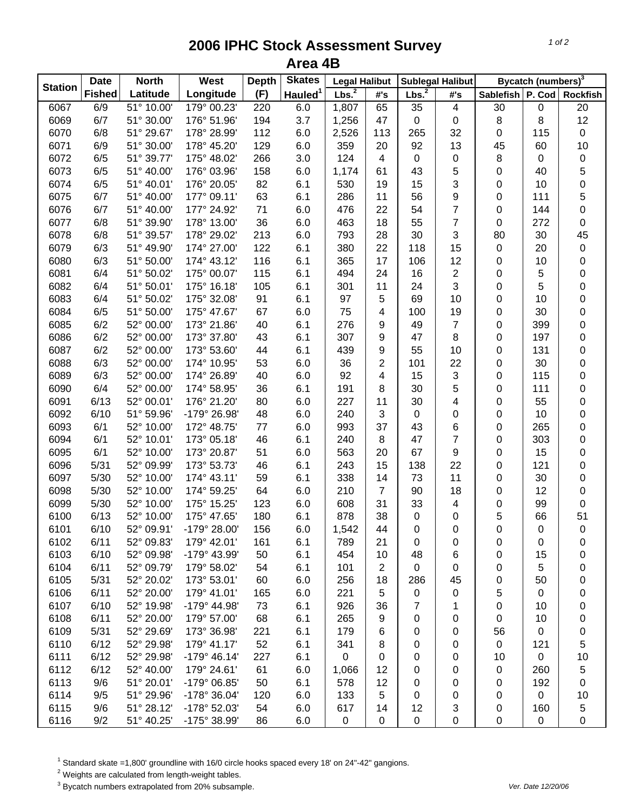## **2006 IPHC Stock Assessment Survey Area 4B**

| <b>Station</b> | <b>Date</b><br><b>North</b> |            | West           | <b>Depth</b> | <b>Skates</b>       | <b>Legal Halibut</b> |                         | <b>Sublegal Halibut</b> |                | Bycatch (numbers) <sup>3</sup> |           |                 |
|----------------|-----------------------------|------------|----------------|--------------|---------------------|----------------------|-------------------------|-------------------------|----------------|--------------------------------|-----------|-----------------|
|                | <b>Fished</b>               | Latitude   | Longitude      | (F)          | Hauled <sup>1</sup> | Lbs. <sup>2</sup>    | #'s                     | Lbs. <sup>2</sup>       | #'s            | Sablefish P. Cod               |           | <b>Rockfish</b> |
| 6067           | 6/9                         | 51° 10.00' | 179° 00.23'    | 220          | 6.0                 | 1,807                | 65                      | 35                      | 4              | 30                             | 0         | 20              |
| 6069           | 6/7                         | 51° 30.00' | 176° 51.96'    | 194          | 3.7                 | 1,256                | 47                      | $\mathbf 0$             | $\mathsf 0$    | $\bf 8$                        | 8         | 12              |
| 6070           | 6/8                         | 51° 29.67' | 178° 28.99'    | 112          | 6.0                 | 2,526                | 113                     | 265                     | 32             | 0                              | 115       | $\pmb{0}$       |
| 6071           | 6/9                         | 51° 30.00' | 178° 45.20'    | 129          | 6.0                 | 359                  | 20                      | 92                      | 13             | 45                             | 60        | 10              |
| 6072           | 6/5                         | 51° 39.77' | 175° 48.02'    | 266          | 3.0                 | 124                  | $\overline{4}$          | 0                       | 0              | 8                              | 0         | $\pmb{0}$       |
| 6073           | 6/5                         | 51° 40.00' | 176° 03.96'    | 158          | 6.0                 | 1,174                | 61                      | 43                      | 5              | 0                              | 40        | 5               |
| 6074           | 6/5                         | 51° 40.01' | 176° 20.05'    | 82           | 6.1                 | 530                  | 19                      | 15                      | 3              | 0                              | 10        | $\pmb{0}$       |
| 6075           | 6/7                         | 51° 40.00' | 177° 09.11'    | 63           | 6.1                 | 286                  | 11                      | 56                      | 9              | 0                              | 111       | 5               |
| 6076           | 6/7                         | 51° 40.00' | 177° 24.92'    | 71           | 6.0                 | 476                  | 22                      | 54                      | $\overline{7}$ | 0                              | 144       | 0               |
| 6077           | 6/8                         | 51° 39.90' | 178° 13.00'    | 36           | 6.0                 | 463                  | 18                      | 55                      | $\overline{7}$ | 0                              | 272       | 0               |
| 6078           | 6/8                         | 51° 39.57' | 178° 29.02'    | 213          | 6.0                 | 793                  | 28                      | 30                      | 3              | 80                             | 30        | 45              |
| 6079           | 6/3                         | 51° 49.90' | 174° 27.00'    | 122          | 6.1                 | 380                  | 22                      | 118                     | 15             | 0                              | 20        | $\pmb{0}$       |
| 6080           | 6/3                         | 51° 50.00' | 174° 43.12'    | 116          | 6.1                 | 365                  | 17                      | 106                     | 12             | 0                              | 10        | 0               |
| 6081           | 6/4                         | 51° 50.02' | 175° 00.07'    | 115          | 6.1                 | 494                  | 24                      | 16                      | $\overline{2}$ | 0                              | 5         | 0               |
| 6082           | 6/4                         | 51° 50.01' | 175° 16.18'    | 105          | 6.1                 | 301                  | 11                      | 24                      | 3              | 0                              | 5         | 0               |
| 6083           | 6/4                         | 51° 50.02' | 175° 32.08'    | 91           | 6.1                 | 97                   | 5                       | 69                      | 10             | 0                              | 10        | 0               |
| 6084           | 6/5                         | 51° 50.00' | 175° 47.67'    | 67           | 6.0                 | 75                   | 4                       | 100                     | 19             | 0                              | 30        | 0               |
| 6085           | 6/2                         | 52° 00.00' | 173° 21.86'    | 40           | 6.1                 | 276                  | 9                       | 49                      | $\overline{7}$ | 0                              | 399       | $\mathbf 0$     |
| 6086           | 6/2                         | 52° 00.00' | 173° 37.80'    | 43           | 6.1                 | 307                  | 9                       | 47                      | 8              | 0                              | 197       | 0               |
| 6087           | 6/2                         | 52° 00.00' | 173° 53.60'    | 44           | 6.1                 | 439                  | 9                       | 55                      | 10             | 0                              | 131       | $\mathbf 0$     |
| 6088           | 6/3                         | 52° 00.00' | 174° 10.95'    | 53           | 6.0                 | 36                   | $\overline{2}$          | 101                     | 22             | 0                              | 30        | $\pmb{0}$       |
| 6089           | 6/3                         | 52° 00.00' | 174° 26.89'    | 40           | 6.0                 | 92                   | $\overline{\mathbf{4}}$ | 15                      | 3              | 0                              | 115       | 0               |
| 6090           | 6/4                         | 52° 00.00' | 174° 58.95'    | 36           | 6.1                 | 191                  | 8                       | 30                      | 5              | 0                              | 111       | 0               |
| 6091           | 6/13                        | 52° 00.01' | 176° 21.20'    | 80           | 6.0                 | 227                  | 11                      | 30                      | 4              | 0                              | 55        | 0               |
| 6092           | 6/10                        | 51° 59.96' | -179° 26.98'   | 48           | 6.0                 | 240                  | 3                       | 0                       | 0              | 0                              | 10        | 0               |
| 6093           | 6/1                         | 52° 10.00' | 172° 48.75'    | 77           | 6.0                 | 993                  | 37                      | 43                      | 6              | 0                              | 265       | 0               |
| 6094           | 6/1                         | 52° 10.01' | 173° 05.18'    | 46           | 6.1                 | 240                  | 8                       | 47                      | $\overline{7}$ | 0                              | 303       | $\mathbf 0$     |
| 6095           | 6/1                         | 52° 10.00' | 173° 20.87'    | 51           | 6.0                 | 563                  | 20                      | 67                      | 9              | 0                              | 15        | 0               |
| 6096           | 5/31                        | 52° 09.99' | 173° 53.73'    | 46           | 6.1                 | 243                  | 15                      | 138                     | 22             | 0                              | 121       | 0               |
| 6097           | 5/30                        | 52° 10.00' | 174° 43.11'    | 59           | 6.1                 | 338                  | 14                      | 73                      | 11             | 0                              | 30        | 0               |
| 6098           | 5/30                        | 52° 10.00' | 174° 59.25'    | 64           | 6.0                 | 210                  | $\overline{7}$          | 90                      | 18             | 0                              | 12        | 0               |
| 6099           | 5/30                        | 52° 10.00' | 175° 15.25'    | 123          | 6.0                 | 608                  | 31                      | 33                      | 4              | 0                              | 99        | 0               |
| 6100           | 6/13                        | 52° 10.00' | 175° 47.65'    | 180          | 6.1                 | 878                  | 38                      | 0                       | 0              | 5                              | 66        | 51              |
| 6101           | 6/10                        | 52° 09.91' | -179° 28.00'   | 156          | 6.0                 | 1,542                | 44                      | 0                       | 0              | 0                              | $\Omega$  | $\mathbf 0$     |
| 6102           | 6/11                        | 52° 09.83' | 179° 42.01'    | 161          | 6.1                 | 789                  | 21                      | 0                       | 0              | 0                              | 0         | 0               |
| 6103           | 6/10                        | 52° 09.98' | -179° 43.99'   | 50           | 6.1                 | 454                  | 10                      | 48                      | 6              | 0                              | 15        | 0               |
| 6104           | 6/11                        | 52° 09.79' | 179° 58.02'    | 54           | 6.1                 | 101                  | $\overline{2}$          | 0                       | 0              | 0                              | 5         | 0               |
| 6105           | 5/31                        | 52° 20.02' | 173° 53.01'    | 60           | 6.0                 | 256                  | 18                      | 286                     | 45             | 0                              | 50        | 0               |
| 6106           | 6/11                        | 52° 20.00' | 179° 41.01'    | 165          | 6.0                 | 221                  | 5                       | 0                       | 0              | 5                              | 0         | 0               |
| 6107           | 6/10                        | 52° 19.98' | -179° 44.98'   | 73           | 6.1                 | 926                  | 36                      | 7                       | 1              | 0                              | 10        | 0               |
| 6108           | 6/11                        | 52° 20.00' | 179° 57.00'    | 68           | 6.1                 | 265                  | 9                       | 0                       | 0              | 0                              | 10        | 0               |
| 6109           | 5/31                        | 52° 29.69' | 173° 36.98'    | 221          | 6.1                 | 179                  | 6                       | 0                       | 0              | 56                             | 0         | 0               |
| 6110           | 6/12                        | 52° 29.98' | 179° 41.17'    | 52           | 6.1                 | 341                  | 8                       | 0                       | 0              | 0                              | 121       | 5               |
| 6111           | 6/12                        | 52° 29.98' | $-179°$ 46.14' | 227          | 6.1                 | 0                    | 0                       | 0                       | 0              | 10                             | 0         | 10              |
| 6112           | 6/12                        | 52° 40.00' | 179° 24.61'    | 61           | 6.0                 | 1,066                | 12                      | 0                       | 0              | 0                              | 260       | 5               |
| 6113           | 9/6                         | 51° 20.01' | -179° 06.85'   | 50           | 6.1                 | 578                  | 12                      | 0                       | 0              | 0                              | 192       | $\pmb{0}$       |
| 6114           | 9/5                         | 51° 29.96' | -178° 36.04'   | 120          | 6.0                 | 133                  | 5                       | 0                       | 0              | 0                              | $\pmb{0}$ | 10              |
| 6115           | 9/6                         | 51° 28.12' | -178° 52.03'   | 54           | 6.0                 | 617                  | 14                      | 12                      | 3              | 0                              | 160       | 5               |
| 6116           | 9/2                         | 51° 40.25' | -175° 38.99'   | 86           | 6.0                 | 0                    | $\pmb{0}$               | 0                       | 0              | 0                              | 0         | 0               |
|                |                             |            |                |              |                     |                      |                         |                         |                |                                |           |                 |

<sup>1</sup> Standard skate =1,800' groundline with 16/0 circle hooks spaced every 18' on 24"-42" gangions.<br><sup>2</sup> Weights are calculated from length-weight tables.<br><sup>3</sup> Bycatch numbers extrapolated from 20% subsample.